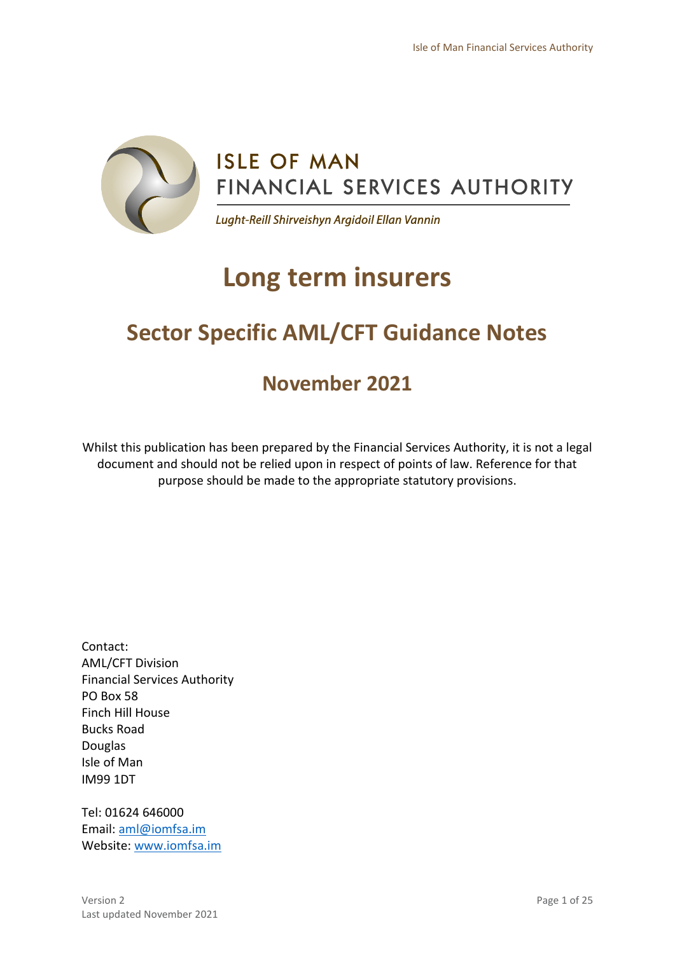

# **Long term insurers**

# **Sector Specific AML/CFT Guidance Notes**

# **November 2021**

Whilst this publication has been prepared by the Financial Services Authority, it is not a legal document and should not be relied upon in respect of points of law. Reference for that purpose should be made to the appropriate statutory provisions.

Contact: AML/CFT Division Financial Services Authority PO Box 58 Finch Hill House Bucks Road Douglas Isle of Man IM99 1DT

Tel: 01624 646000 Email: [aml@iomfsa.im](mailto:aml@iomfsa.im) Website: [www.iomfsa.im](http://www.iomfsa.im/)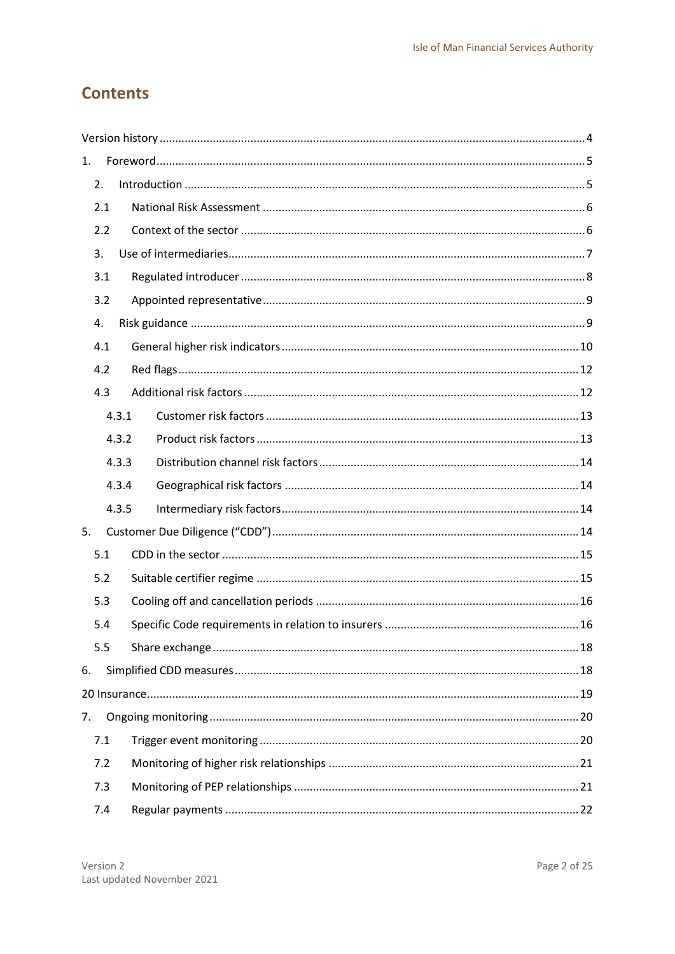# **Contents**

| 1. |     |       |  |
|----|-----|-------|--|
| 2. |     |       |  |
|    | 2.1 |       |  |
|    | 2.2 |       |  |
| 3. |     |       |  |
|    | 3.1 |       |  |
|    | 3.2 |       |  |
| 4. |     |       |  |
|    | 4.1 |       |  |
|    | 4.2 |       |  |
|    | 4.3 |       |  |
|    |     | 4.3.1 |  |
|    |     | 4.3.2 |  |
|    |     | 4.3.3 |  |
|    |     | 4.3.4 |  |
|    |     | 4.3.5 |  |
| 5. |     |       |  |
|    | 5.1 |       |  |
|    | 5.2 |       |  |
|    | 5.3 |       |  |
|    | 5.4 |       |  |
|    | 5.5 |       |  |
| 6. |     |       |  |
|    |     |       |  |
| 7. |     |       |  |
|    | 7.1 |       |  |
|    | 7.2 |       |  |
|    | 7.3 |       |  |
|    | 7.4 |       |  |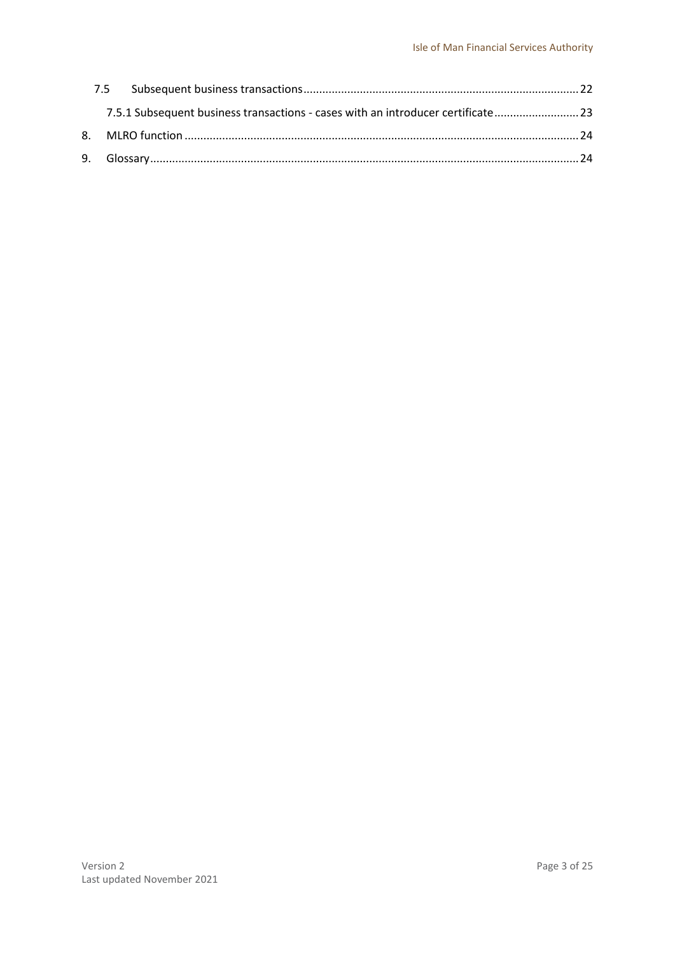|  | 7.5.1 Subsequent business transactions - cases with an introducer certificate 23 |  |
|--|----------------------------------------------------------------------------------|--|
|  |                                                                                  |  |
|  |                                                                                  |  |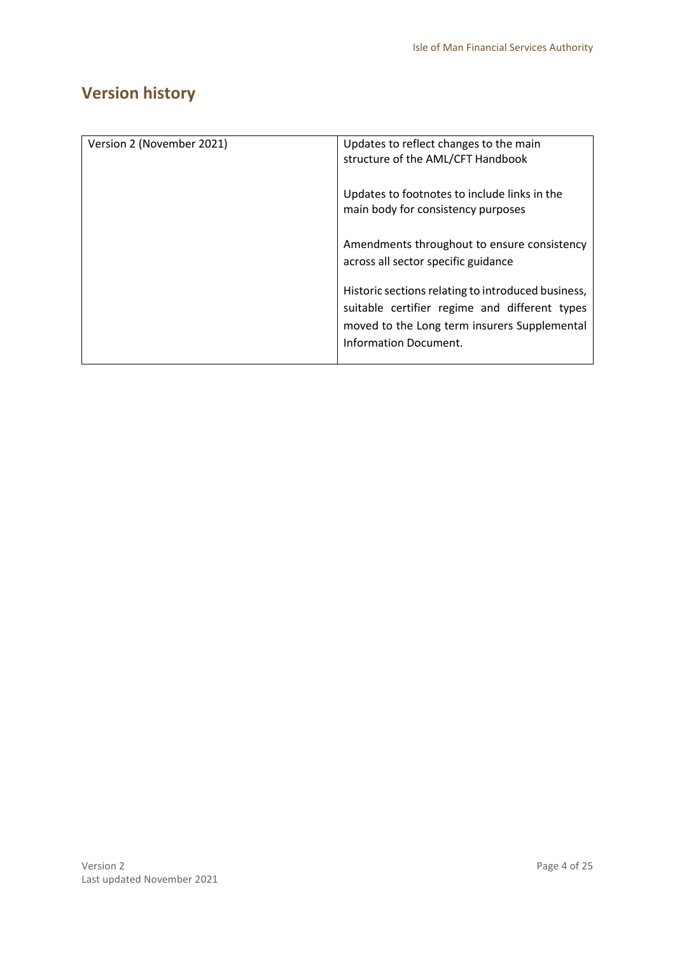# <span id="page-3-0"></span>**Version history**

| Version 2 (November 2021) | Updates to reflect changes to the main<br>structure of the AML/CFT Handbook                                                                                                  |
|---------------------------|------------------------------------------------------------------------------------------------------------------------------------------------------------------------------|
|                           | Updates to footnotes to include links in the<br>main body for consistency purposes                                                                                           |
|                           | Amendments throughout to ensure consistency<br>across all sector specific guidance                                                                                           |
|                           | Historic sections relating to introduced business,<br>suitable certifier regime and different types<br>moved to the Long term insurers Supplemental<br>Information Document. |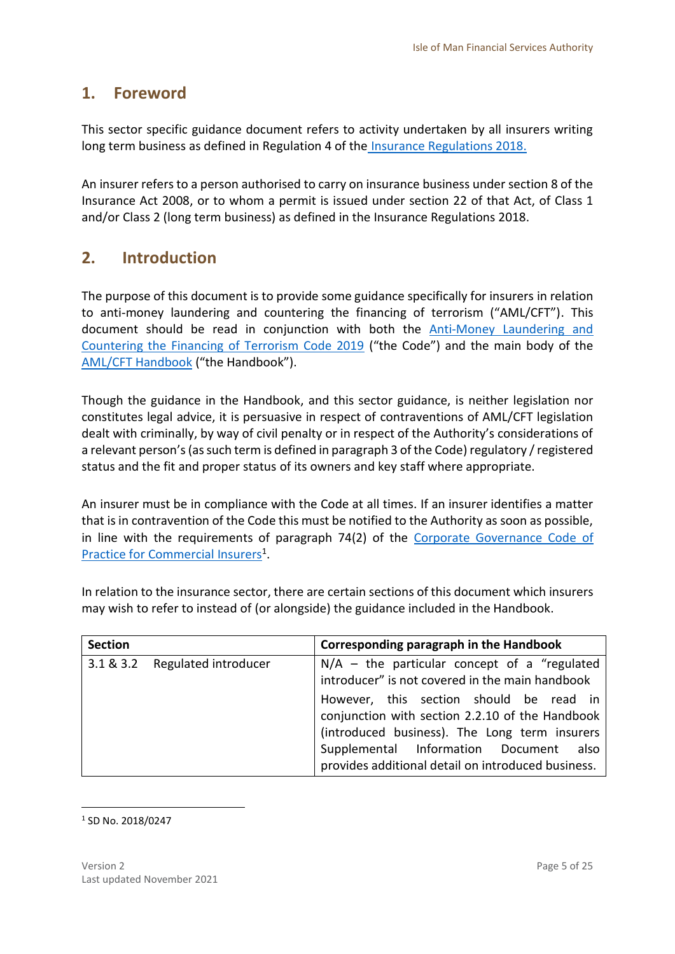# <span id="page-4-0"></span>**1. Foreword**

This sector specific guidance document refers to activity undertaken by all insurers writing long term business as defined in Regulation 4 of the [Insurance Regulations 2018.](https://www.iomfsa.im/media/2451/insuranceregulations2018.pdf) 

An insurer refers to a person authorised to carry on insurance business under section 8 of the Insurance Act 2008, or to whom a permit is issued under section 22 of that Act, of Class 1 and/or Class 2 (long term business) as defined in the Insurance Regulations 2018.

# <span id="page-4-1"></span>**2. Introduction**

The purpose of this document is to provide some guidance specifically for insurers in relation to anti-money laundering and countering the financing of terrorism ("AML/CFT"). This document should be read in conjunction with both the [Anti-Money Laundering and](https://legislation.gov.im/cms/)  [Countering the Financing of Terrorism Code 2019](https://legislation.gov.im/cms/) ("the Code") and the main body of the [AML/CFT Handbook](https://www.iomfsa.im/amlcft/amlcft-requirements-and-guidance/) ("the Handbook").

Though the guidance in the Handbook, and this sector guidance, is neither legislation nor constitutes legal advice, it is persuasive in respect of contraventions of AML/CFT legislation dealt with criminally, by way of civil penalty or in respect of the Authority's considerations of a relevant person's(as such term is defined in paragraph 3 of the Code) regulatory / registered status and the fit and proper status of its owners and key staff where appropriate.

An insurer must be in compliance with the Code at all times. If an insurer identifies a matter that is in contravention of the Code this must be notified to the Authority as soon as possible, in line with the requirements of paragraph 74(2) of the [Corporate Governance Code](https://legislation.gov.im/cms/) of Practice [for Commercial Insurers](https://legislation.gov.im/cms/)<sup>1</sup>.

In relation to the insurance sector, there are certain sections of this document which insurers may wish to refer to instead of (or alongside) the guidance included in the Handbook.

| <b>Section</b> |                      | Corresponding paragraph in the Handbook                                                                                                                                                                                                     |
|----------------|----------------------|---------------------------------------------------------------------------------------------------------------------------------------------------------------------------------------------------------------------------------------------|
| 3.1 & 8.3.2    | Regulated introducer | $N/A$ – the particular concept of a "regulated"<br>introducer" is not covered in the main handbook                                                                                                                                          |
|                |                      | However, this section should be read in<br>conjunction with section 2.2.10 of the Handbook<br>(introduced business). The Long term insurers<br>Supplemental Information Document also<br>provides additional detail on introduced business. |

**.** 1 SD No. 2018/0247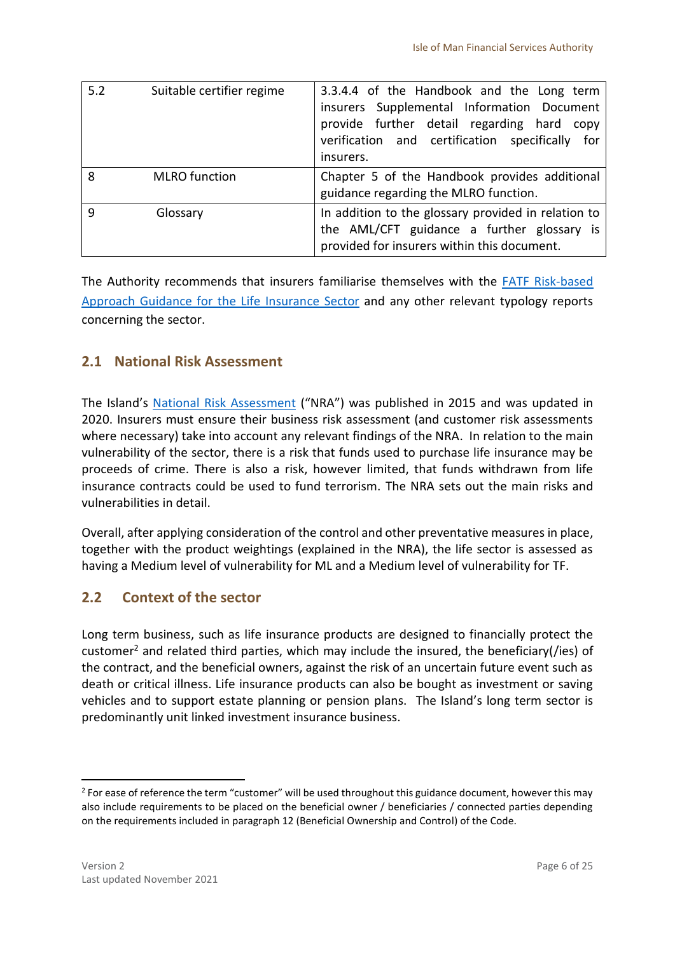| 5.2          | Suitable certifier regime | 3.3.4.4 of the Handbook and the Long term<br>insurers Supplemental Information Document<br>provide further detail regarding hard<br>CODV<br>verification and certification specifically for<br>insurers. |
|--------------|---------------------------|----------------------------------------------------------------------------------------------------------------------------------------------------------------------------------------------------------|
| 8            | <b>MLRO</b> function      | Chapter 5 of the Handbook provides additional<br>guidance regarding the MLRO function.                                                                                                                   |
| $\mathsf{q}$ | Glossary                  | In addition to the glossary provided in relation to<br>the AML/CFT guidance a further glossary is<br>provided for insurers within this document.                                                         |

The Authority recommends that insurers familiarise themselves with the [FATF Risk-based](http://www.fatf-gafi.org/media/fatf/documents/recommendations/pdfs/RBA-Life-Insurance.pdf)  [Approach Guidance for the Life Insurance Sector](http://www.fatf-gafi.org/media/fatf/documents/recommendations/pdfs/RBA-Life-Insurance.pdf) and any other relevant typology reports concerning the sector.

## <span id="page-5-0"></span>**2.1 National Risk Assessment**

The Island's [National Risk Assessment](https://www.gov.im/about-the-government/departments/cabinet-office/national-risk-assessment/) ("NRA") was published in 2015 and was updated in 2020. Insurers must ensure their business risk assessment (and customer risk assessments where necessary) take into account any relevant findings of the NRA. In relation to the main vulnerability of the sector, there is a risk that funds used to purchase life insurance may be proceeds of crime. There is also a risk, however limited, that funds withdrawn from life insurance contracts could be used to fund terrorism. The NRA sets out the main risks and vulnerabilities in detail.

Overall, after applying consideration of the control and other preventative measures in place, together with the product weightings (explained in the NRA), the life sector is assessed as having a Medium level of vulnerability for ML and a Medium level of vulnerability for TF.

# <span id="page-5-1"></span>**2.2 Context of the sector**

Long term business, such as life insurance products are designed to financially protect the customer<sup>2</sup> and related third parties, which may include the insured, the beneficiary(/ies) of the contract, and the beneficial owners, against the risk of an uncertain future event such as death or critical illness. Life insurance products can also be bought as investment or saving vehicles and to support estate planning or pension plans. The Island's long term sector is predominantly unit linked investment insurance business.

 $2$  For ease of reference the term "customer" will be used throughout this guidance document, however this may also include requirements to be placed on the beneficial owner / beneficiaries / connected parties depending on the requirements included in paragraph 12 (Beneficial Ownership and Control) of the Code.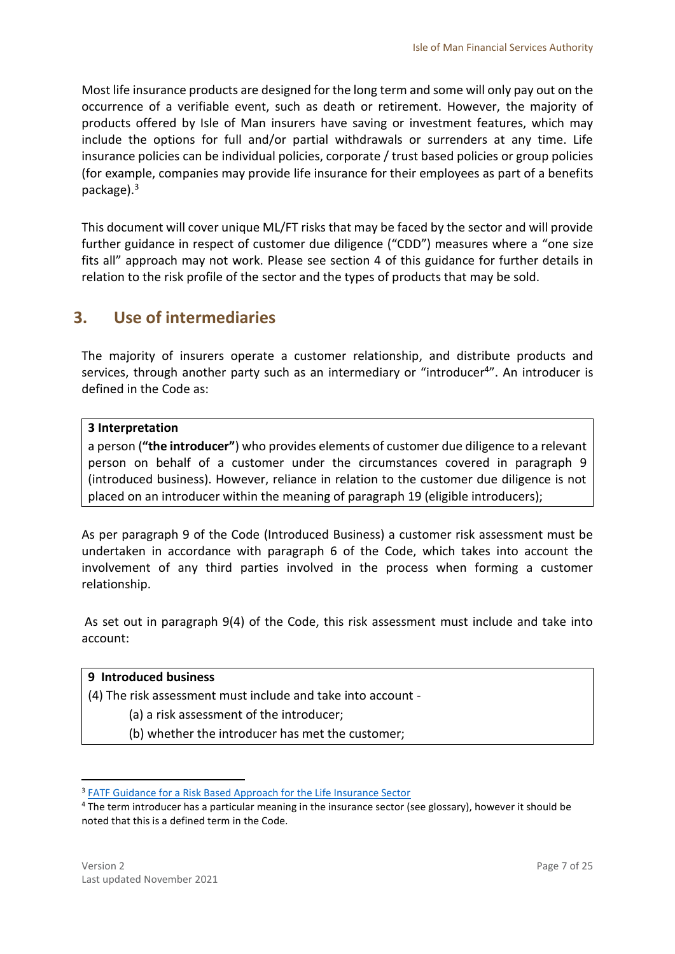Most life insurance products are designed for the long term and some will only pay out on the occurrence of a verifiable event, such as death or retirement. However, the majority of products offered by Isle of Man insurers have saving or investment features, which may include the options for full and/or partial withdrawals or surrenders at any time. Life insurance policies can be individual policies, corporate / trust based policies or group policies (for example, companies may provide life insurance for their employees as part of a benefits package).<sup>3</sup>

This document will cover unique ML/FT risks that may be faced by the sector and will provide further guidance in respect of customer due diligence ("CDD") measures where a "one size fits all" approach may not work. Please see section 4 of this guidance for further details in relation to the risk profile of the sector and the types of products that may be sold.

# <span id="page-6-0"></span>**3. Use of intermediaries**

The majority of insurers operate a customer relationship, and distribute products and services, through another party such as an intermediary or "introducer<sup>4</sup>". An introducer is defined in the Code as:

### **3 Interpretation**

a person (**"the introducer"**) who provides elements of customer due diligence to a relevant person on behalf of a customer under the circumstances covered in paragraph 9 (introduced business). However, reliance in relation to the customer due diligence is not placed on an introducer within the meaning of paragraph 19 (eligible introducers);

As per paragraph 9 of the Code (Introduced Business) a customer risk assessment must be undertaken in accordance with paragraph 6 of the Code, which takes into account the involvement of any third parties involved in the process when forming a customer relationship.

As set out in paragraph 9(4) of the Code, this risk assessment must include and take into account:

### **9 Introduced business**

(4) The risk assessment must include and take into account -

(a) a risk assessment of the introducer;

(b) whether the introducer has met the customer;

<sup>&</sup>lt;sup>3</sup> [FATF Guidance for a Risk Based Approach for the Life Insurance Sector](http://www.fatf-gafi.org/media/fatf/documents/recommendations/pdfs/RBA-Life-Insurance.pdf)

<sup>4</sup> The term introducer has a particular meaning in the insurance sector (see glossary), however it should be noted that this is a defined term in the Code.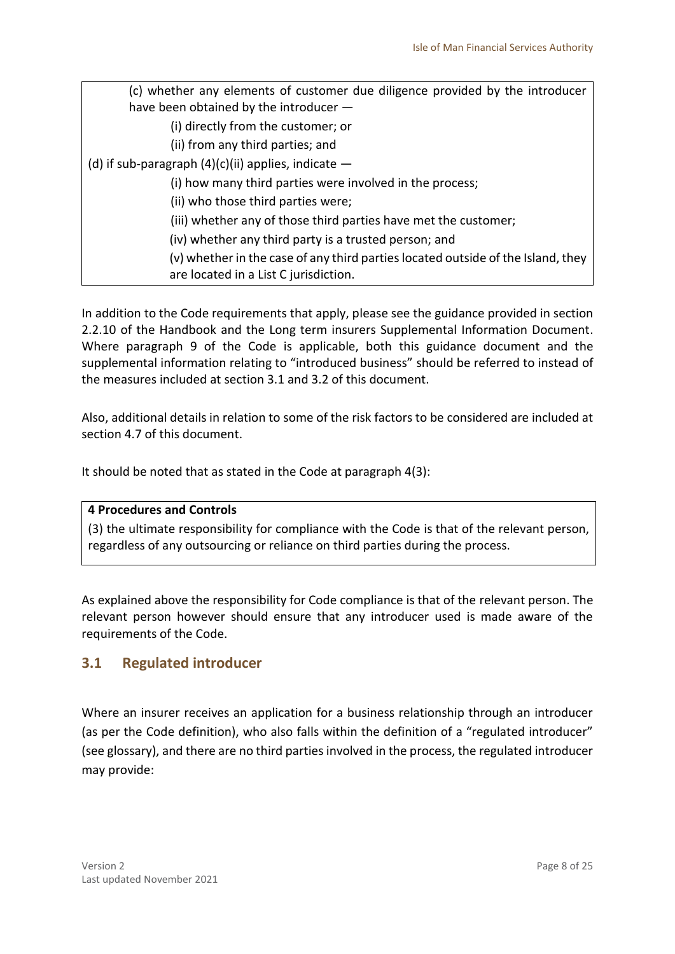| (c) whether any elements of customer due diligence provided by the introducer                                             |  |  |
|---------------------------------------------------------------------------------------------------------------------------|--|--|
| have been obtained by the introducer -                                                                                    |  |  |
| (i) directly from the customer; or                                                                                        |  |  |
| (ii) from any third parties; and                                                                                          |  |  |
| (d) if sub-paragraph $(4)(c)(ii)$ applies, indicate $-$                                                                   |  |  |
| (i) how many third parties were involved in the process;                                                                  |  |  |
| (ii) who those third parties were;                                                                                        |  |  |
| (iii) whether any of those third parties have met the customer;                                                           |  |  |
| (iv) whether any third party is a trusted person; and                                                                     |  |  |
| (v) whether in the case of any third parties located outside of the Island, they<br>are located in a List C jurisdiction. |  |  |

In addition to the Code requirements that apply, please see the guidance provided in section 2.2.10 of the Handbook and the Long term insurers Supplemental Information Document. Where paragraph 9 of the Code is applicable, both this guidance document and the supplemental information relating to "introduced business" should be referred to instead of the measures included at section 3.1 and 3.2 of this document.

Also, additional details in relation to some of the risk factors to be considered are included at section 4.7 of this document.

It should be noted that as stated in the Code at paragraph 4(3):

### **4 Procedures and Controls**

(3) the ultimate responsibility for compliance with the Code is that of the relevant person, regardless of any outsourcing or reliance on third parties during the process.

As explained above the responsibility for Code compliance is that of the relevant person. The relevant person however should ensure that any introducer used is made aware of the requirements of the Code.

### <span id="page-7-0"></span>**3.1 Regulated introducer**

Where an insurer receives an application for a business relationship through an introducer (as per the Code definition), who also falls within the definition of a "regulated introducer" (see glossary), and there are no third parties involved in the process, the regulated introducer may provide: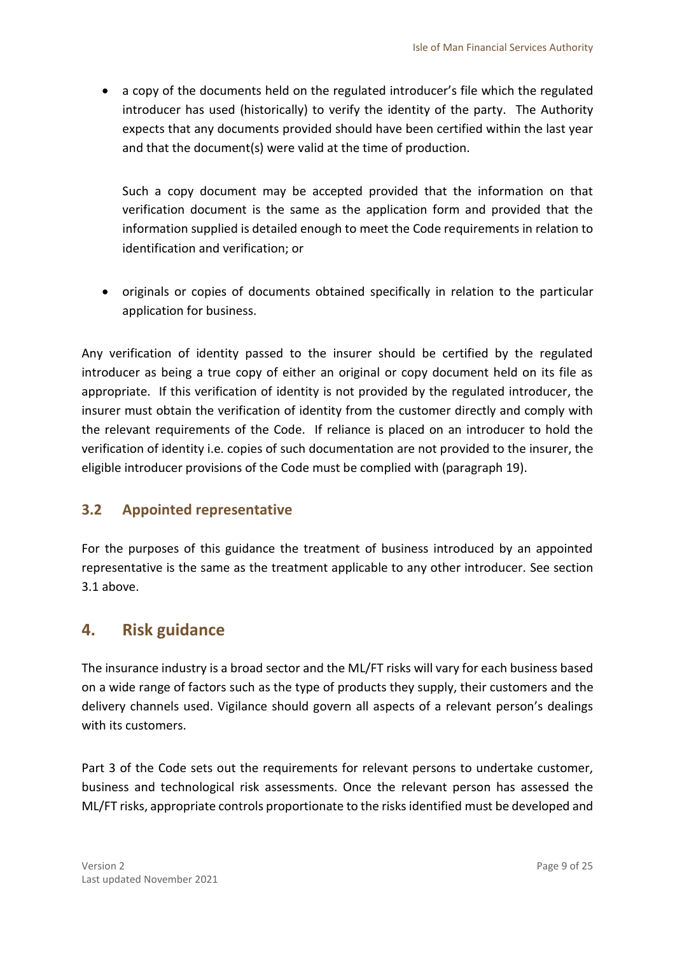a copy of the documents held on the regulated introducer's file which the regulated introducer has used (historically) to verify the identity of the party. The Authority expects that any documents provided should have been certified within the last year and that the document(s) were valid at the time of production.

Such a copy document may be accepted provided that the information on that verification document is the same as the application form and provided that the information supplied is detailed enough to meet the Code requirements in relation to identification and verification; or

 originals or copies of documents obtained specifically in relation to the particular application for business.

Any verification of identity passed to the insurer should be certified by the regulated introducer as being a true copy of either an original or copy document held on its file as appropriate. If this verification of identity is not provided by the regulated introducer, the insurer must obtain the verification of identity from the customer directly and comply with the relevant requirements of the Code. If reliance is placed on an introducer to hold the verification of identity i.e. copies of such documentation are not provided to the insurer, the eligible introducer provisions of the Code must be complied with (paragraph 19).

# <span id="page-8-0"></span>**3.2 Appointed representative**

For the purposes of this guidance the treatment of business introduced by an appointed representative is the same as the treatment applicable to any other introducer. See section 3.1 above.

# <span id="page-8-1"></span>**4. Risk guidance**

The insurance industry is a broad sector and the ML/FT risks will vary for each business based on a wide range of factors such as the type of products they supply, their customers and the delivery channels used. Vigilance should govern all aspects of a relevant person's dealings with its customers.

Part 3 of the Code sets out the requirements for relevant persons to undertake customer, business and technological risk assessments. Once the relevant person has assessed the ML/FT risks, appropriate controls proportionate to the risks identified must be developed and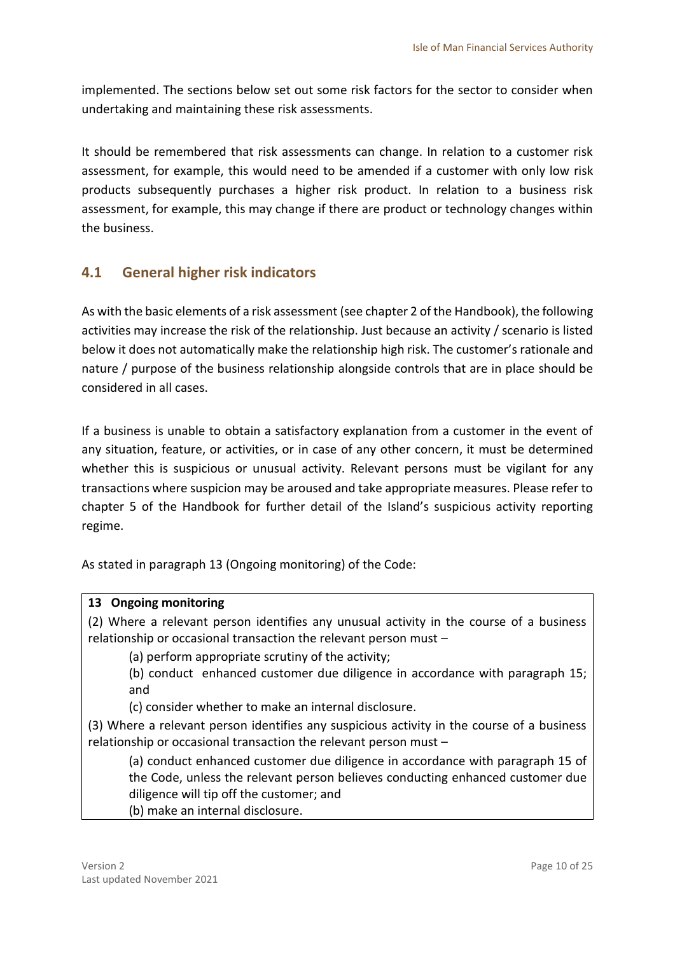implemented. The sections below set out some risk factors for the sector to consider when undertaking and maintaining these risk assessments.

It should be remembered that risk assessments can change. In relation to a customer risk assessment, for example, this would need to be amended if a customer with only low risk products subsequently purchases a higher risk product. In relation to a business risk assessment, for example, this may change if there are product or technology changes within the business.

# <span id="page-9-0"></span>**4.1 General higher risk indicators**

As with the basic elements of a risk assessment (see chapter 2 of the Handbook), the following activities may increase the risk of the relationship. Just because an activity / scenario is listed below it does not automatically make the relationship high risk. The customer's rationale and nature / purpose of the business relationship alongside controls that are in place should be considered in all cases.

If a business is unable to obtain a satisfactory explanation from a customer in the event of any situation, feature, or activities, or in case of any other concern, it must be determined whether this is suspicious or unusual activity. Relevant persons must be vigilant for any transactions where suspicion may be aroused and take appropriate measures. Please refer to chapter 5 of the Handbook for further detail of the Island's suspicious activity reporting regime.

As stated in paragraph 13 (Ongoing monitoring) of the Code:

### **13 Ongoing monitoring**

(2) Where a relevant person identifies any unusual activity in the course of a business relationship or occasional transaction the relevant person must –

(a) perform appropriate scrutiny of the activity;

(b) conduct enhanced customer due diligence in accordance with paragraph 15; and

(c) consider whether to make an internal disclosure.

(3) Where a relevant person identifies any suspicious activity in the course of a business relationship or occasional transaction the relevant person must –

(a) conduct enhanced customer due diligence in accordance with paragraph 15 of the Code, unless the relevant person believes conducting enhanced customer due diligence will tip off the customer; and

(b) make an internal disclosure.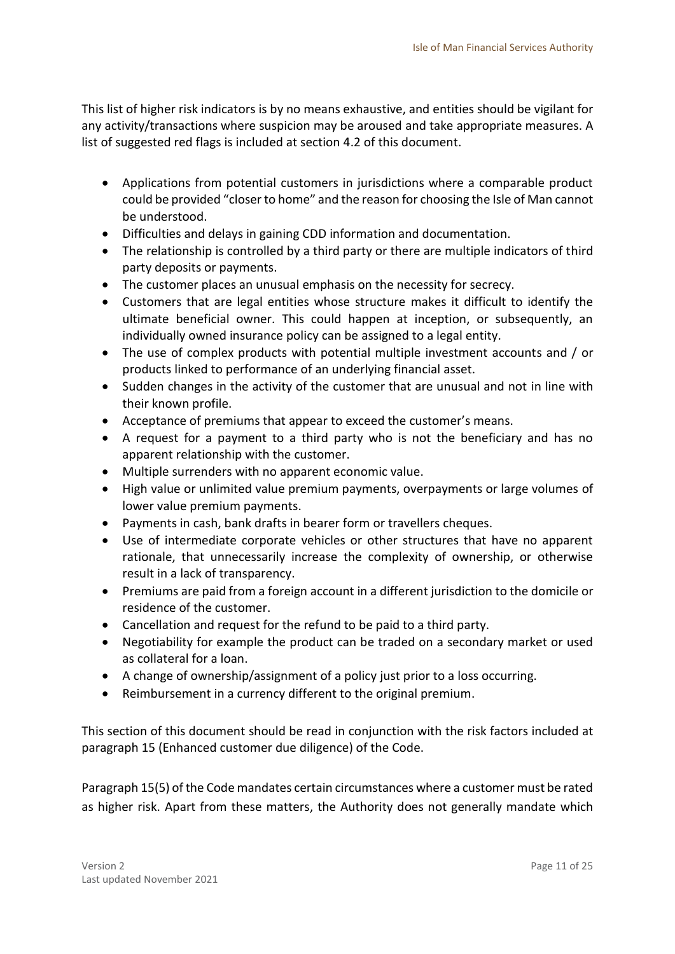This list of higher risk indicators is by no means exhaustive, and entities should be vigilant for any activity/transactions where suspicion may be aroused and take appropriate measures. A list of suggested red flags is included at section 4.2 of this document.

- Applications from potential customers in jurisdictions where a comparable product could be provided "closer to home" and the reason for choosing the Isle of Man cannot be understood.
- Difficulties and delays in gaining CDD information and documentation.
- The relationship is controlled by a third party or there are multiple indicators of third party deposits or payments.
- The customer places an unusual emphasis on the necessity for secrecy.
- Customers that are legal entities whose structure makes it difficult to identify the ultimate beneficial owner. This could happen at inception, or subsequently, an individually owned insurance policy can be assigned to a legal entity.
- The use of complex products with potential multiple investment accounts and / or products linked to performance of an underlying financial asset.
- Sudden changes in the activity of the customer that are unusual and not in line with their known profile.
- Acceptance of premiums that appear to exceed the customer's means.
- A request for a payment to a third party who is not the beneficiary and has no apparent relationship with the customer.
- Multiple surrenders with no apparent economic value.
- High value or unlimited value premium payments, overpayments or large volumes of lower value premium payments.
- Payments in cash, bank drafts in bearer form or travellers cheques.
- Use of intermediate corporate vehicles or other structures that have no apparent rationale, that unnecessarily increase the complexity of ownership, or otherwise result in a lack of transparency.
- Premiums are paid from a foreign account in a different jurisdiction to the domicile or residence of the customer.
- Cancellation and request for the refund to be paid to a third party.
- Negotiability for example the product can be traded on a secondary market or used as collateral for a loan.
- A change of ownership/assignment of a policy just prior to a loss occurring.
- Reimbursement in a currency different to the original premium.

This section of this document should be read in conjunction with the risk factors included at paragraph 15 (Enhanced customer due diligence) of the Code.

Paragraph 15(5) of the Code mandates certain circumstances where a customer must be rated as higher risk. Apart from these matters, the Authority does not generally mandate which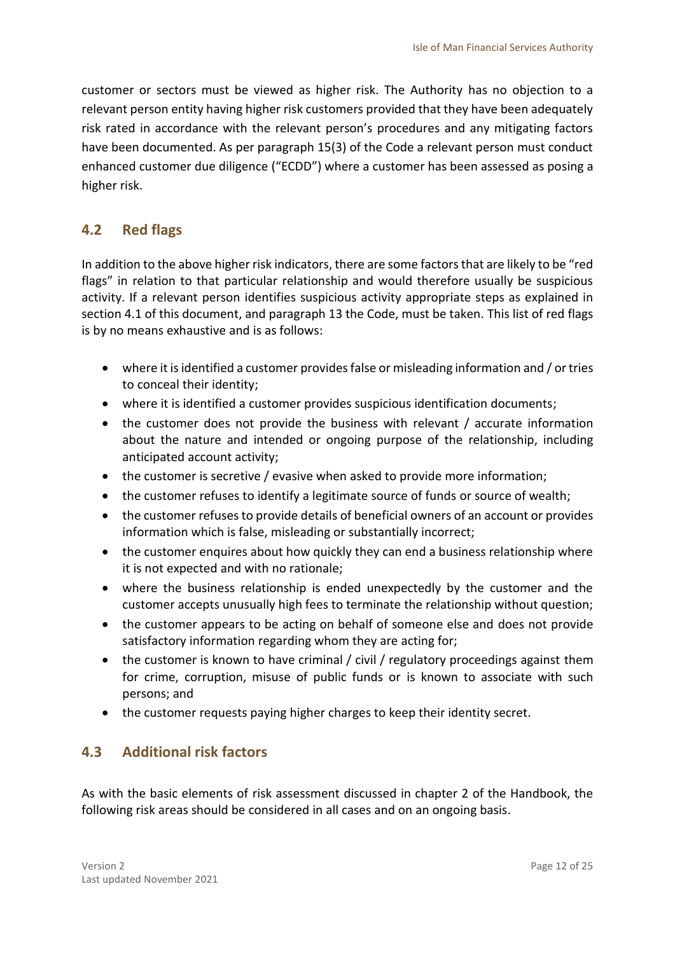customer or sectors must be viewed as higher risk. The Authority has no objection to a relevant person entity having higher risk customers provided that they have been adequately risk rated in accordance with the relevant person's procedures and any mitigating factors have been documented. As per paragraph 15(3) of the Code a relevant person must conduct enhanced customer due diligence ("ECDD") where a customer has been assessed as posing a higher risk.

## <span id="page-11-0"></span>**4.2 Red flags**

In addition to the above higher risk indicators, there are some factors that are likely to be "red flags" in relation to that particular relationship and would therefore usually be suspicious activity. If a relevant person identifies suspicious activity appropriate steps as explained in section 4.1 of this document, and paragraph 13 the Code, must be taken. This list of red flags is by no means exhaustive and is as follows:

- where it is identified a customer provides false or misleading information and / or tries to conceal their identity;
- where it is identified a customer provides suspicious identification documents;
- the customer does not provide the business with relevant / accurate information about the nature and intended or ongoing purpose of the relationship, including anticipated account activity;
- the customer is secretive / evasive when asked to provide more information;
- the customer refuses to identify a legitimate source of funds or source of wealth;
- the customer refuses to provide details of beneficial owners of an account or provides information which is false, misleading or substantially incorrect;
- the customer enquires about how quickly they can end a business relationship where it is not expected and with no rationale;
- where the business relationship is ended unexpectedly by the customer and the customer accepts unusually high fees to terminate the relationship without question;
- the customer appears to be acting on behalf of someone else and does not provide satisfactory information regarding whom they are acting for;
- the customer is known to have criminal / civil / regulatory proceedings against them for crime, corruption, misuse of public funds or is known to associate with such persons; and
- the customer requests paying higher charges to keep their identity secret.

### <span id="page-11-1"></span>**4.3 Additional risk factors**

As with the basic elements of risk assessment discussed in chapter 2 of the Handbook, the following risk areas should be considered in all cases and on an ongoing basis.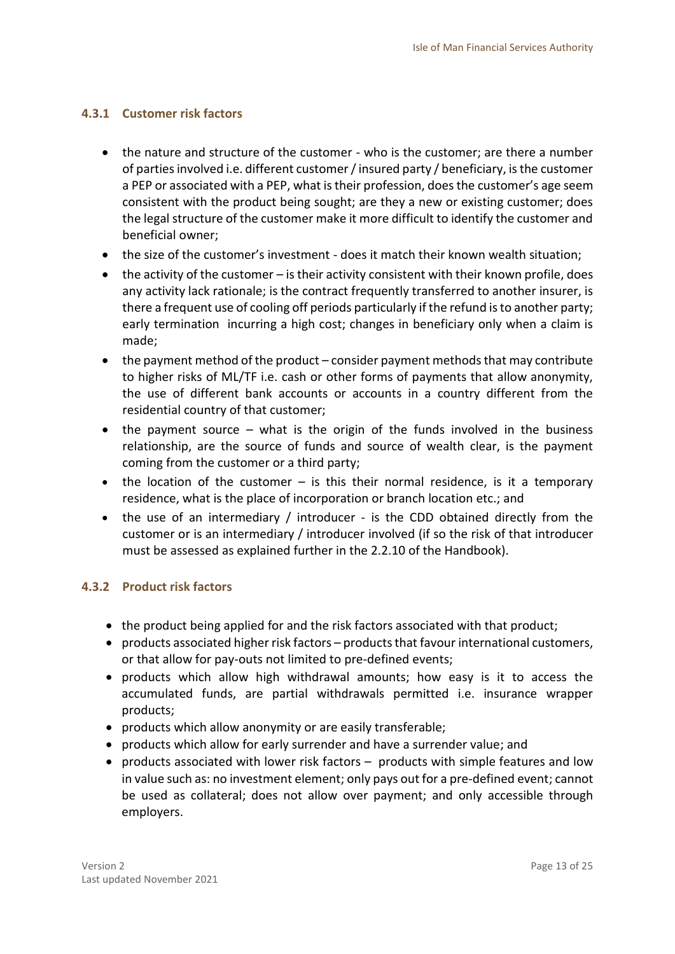### <span id="page-12-0"></span>**4.3.1 Customer risk factors**

- the nature and structure of the customer who is the customer; are there a number of parties involved i.e. different customer / insured party / beneficiary, is the customer a PEP or associated with a PEP, what is their profession, does the customer's age seem consistent with the product being sought; are they a new or existing customer; does the legal structure of the customer make it more difficult to identify the customer and beneficial owner;
- the size of the customer's investment does it match their known wealth situation;
- $\bullet$  the activity of the customer is their activity consistent with their known profile, does any activity lack rationale; is the contract frequently transferred to another insurer, is there a frequent use of cooling off periods particularly if the refund is to another party; early termination incurring a high cost; changes in beneficiary only when a claim is made;
- the payment method of the product consider payment methods that may contribute to higher risks of ML/TF i.e. cash or other forms of payments that allow anonymity, the use of different bank accounts or accounts in a country different from the residential country of that customer;
- $\bullet$  the payment source what is the origin of the funds involved in the business relationship, are the source of funds and source of wealth clear, is the payment coming from the customer or a third party;
- $\bullet$  the location of the customer is this their normal residence, is it a temporary residence, what is the place of incorporation or branch location etc.; and
- the use of an intermediary / introducer is the CDD obtained directly from the customer or is an intermediary / introducer involved (if so the risk of that introducer must be assessed as explained further in the 2.2.10 of the Handbook).

### <span id="page-12-1"></span>**4.3.2 Product risk factors**

- the product being applied for and the risk factors associated with that product;
- products associated higher risk factors products that favour international customers, or that allow for pay-outs not limited to pre-defined events;
- products which allow high withdrawal amounts; how easy is it to access the accumulated funds, are partial withdrawals permitted i.e. insurance wrapper products;
- products which allow anonymity or are easily transferable;
- products which allow for early surrender and have a surrender value; and
- products associated with lower risk factors products with simple features and low in value such as: no investment element; only pays out for a pre-defined event; cannot be used as collateral; does not allow over payment; and only accessible through employers.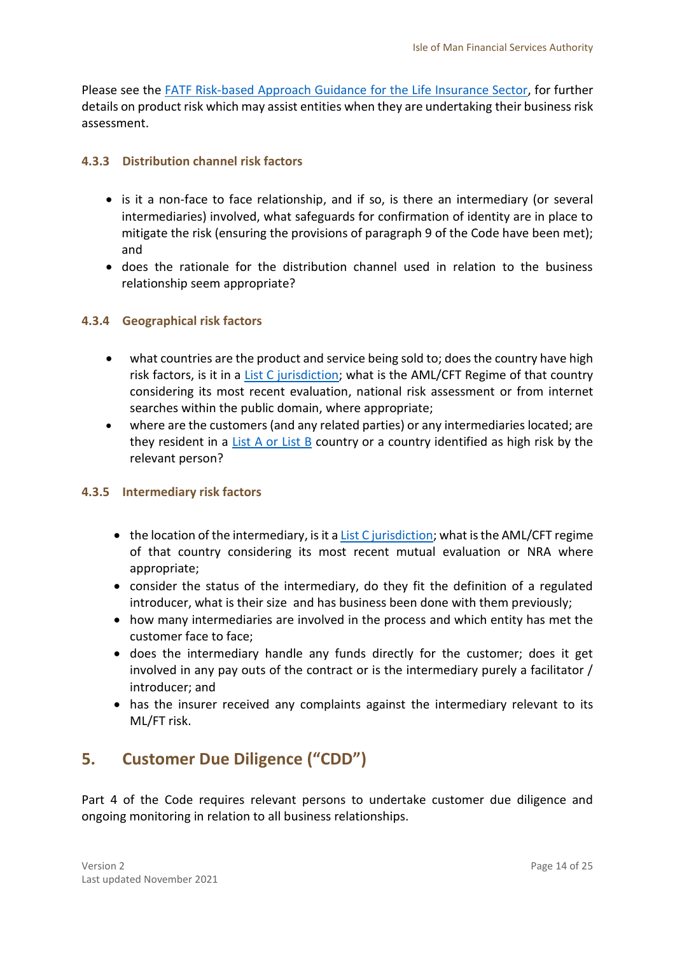Please see the [FATF Risk-based Approach Guidance](http://www.fatf-gafi.org/media/fatf/documents/recommendations/pdfs/RBA-Life-Insurance.pdf) for the Life Insurance Sector, for further details on product risk which may assist entities when they are undertaking their business risk assessment.

### <span id="page-13-0"></span>**4.3.3 Distribution channel risk factors**

- is it a non-face to face relationship, and if so, is there an intermediary (or several intermediaries) involved, what safeguards for confirmation of identity are in place to mitigate the risk (ensuring the provisions of paragraph 9 of the Code have been met); and
- does the rationale for the distribution channel used in relation to the business relationship seem appropriate?

### <span id="page-13-1"></span>**4.3.4 Geographical risk factors**

- what countries are the product and service being sold to; does the country have high risk factors, is it in a [List C jurisdiction;](https://www.gov.im/about-the-government/departments/home-affairs/chief-executives-office/anti-money-laundering-legislation-and-countering-the-financing-of-terrorism-amlcft/) what is the AML/CFT Regime of that country considering its most recent evaluation, national risk assessment or from internet searches within the public domain, where appropriate;
- where are the customers (and any related parties) or any intermediaries located; are they resident in a [List A or List B](https://www.gov.im/about-the-government/departments/home-affairs/chief-executives-office/anti-money-laundering-legislation-and-countering-the-financing-of-terrorism-amlcft/) country or a country identified as high risk by the relevant person?

### <span id="page-13-2"></span>**4.3.5 Intermediary risk factors**

- $\bullet$  the location of the intermediary, is it [a List C jurisdiction;](https://www.gov.im/about-the-government/departments/home-affairs/chief-executives-office/anti-money-laundering-legislation-and-countering-the-financing-of-terrorism-amlcft/) what is the AML/CFT regime of that country considering its most recent mutual evaluation or NRA where appropriate;
- consider the status of the intermediary, do they fit the definition of a regulated introducer, what is their size and has business been done with them previously;
- how many intermediaries are involved in the process and which entity has met the customer face to face;
- does the intermediary handle any funds directly for the customer; does it get involved in any pay outs of the contract or is the intermediary purely a facilitator / introducer; and
- has the insurer received any complaints against the intermediary relevant to its ML/FT risk.

# <span id="page-13-3"></span>**5. Customer Due Diligence ("CDD")**

Part 4 of the Code requires relevant persons to undertake customer due diligence and ongoing monitoring in relation to all business relationships.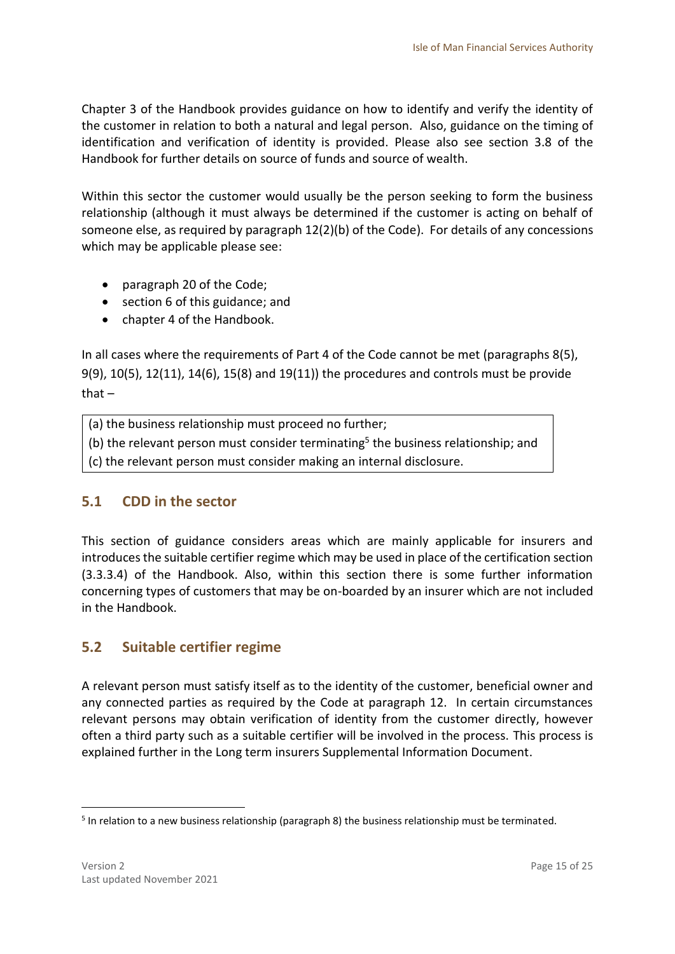Chapter 3 of the Handbook provides guidance on how to identify and verify the identity of the customer in relation to both a natural and legal person. Also, guidance on the timing of identification and verification of identity is provided. Please also see section 3.8 of the Handbook for further details on source of funds and source of wealth.

Within this sector the customer would usually be the person seeking to form the business relationship (although it must always be determined if the customer is acting on behalf of someone else, as required by paragraph 12(2)(b) of the Code). For details of any concessions which may be applicable please see:

- paragraph 20 of the Code;
- section 6 of this guidance; and
- chapter 4 of the Handbook.

In all cases where the requirements of Part 4 of the Code cannot be met (paragraphs 8(5), 9(9), 10(5), 12(11), 14(6), 15(8) and 19(11)) the procedures and controls must be provide that –

(a) the business relationship must proceed no further;

(b) the relevant person must consider terminating<sup>5</sup> the business relationship; and

(c) the relevant person must consider making an internal disclosure.

### <span id="page-14-0"></span>**5.1 CDD in the sector**

This section of guidance considers areas which are mainly applicable for insurers and introduces the suitable certifier regime which may be used in place of the certification section (3.3.3.4) of the Handbook. Also, within this section there is some further information concerning types of customers that may be on-boarded by an insurer which are not included in the Handbook.

### <span id="page-14-1"></span>**5.2 Suitable certifier regime**

A relevant person must satisfy itself as to the identity of the customer, beneficial owner and any connected parties as required by the Code at paragraph 12. In certain circumstances relevant persons may obtain verification of identity from the customer directly, however often a third party such as a suitable certifier will be involved in the process. This process is explained further in the Long term insurers Supplemental Information Document.

<sup>&</sup>lt;sup>5</sup> In relation to a new business relationship (paragraph 8) the business relationship must be terminated.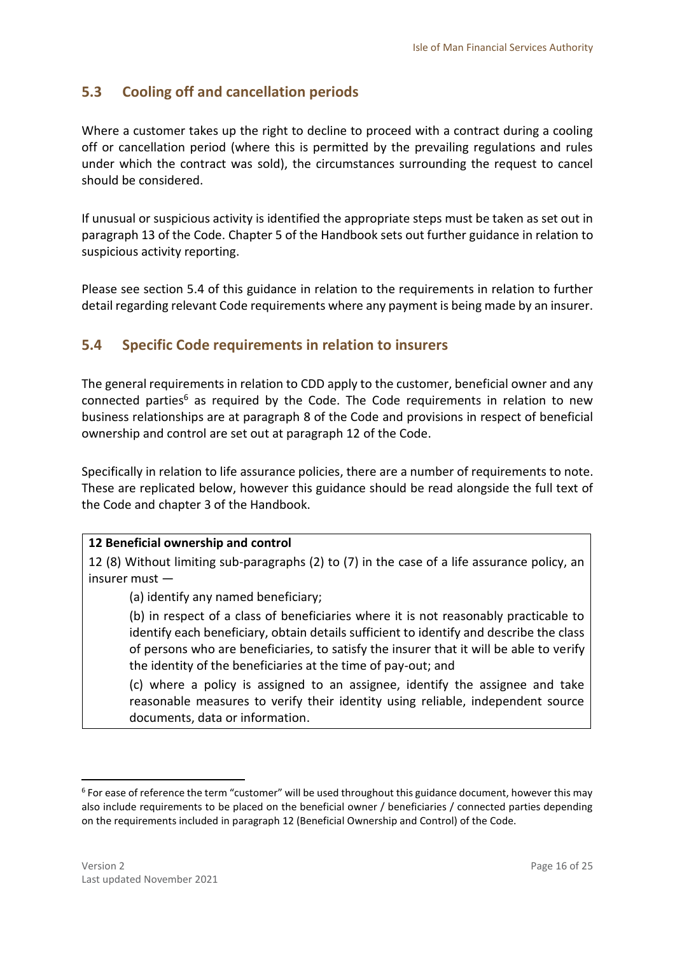# <span id="page-15-0"></span>**5.3 Cooling off and cancellation periods**

Where a customer takes up the right to decline to proceed with a contract during a cooling off or cancellation period (where this is permitted by the prevailing regulations and rules under which the contract was sold), the circumstances surrounding the request to cancel should be considered.

If unusual or suspicious activity is identified the appropriate steps must be taken as set out in paragraph 13 of the Code. Chapter 5 of the Handbook sets out further guidance in relation to suspicious activity reporting.

Please see section 5.4 of this guidance in relation to the requirements in relation to further detail regarding relevant Code requirements where any payment is being made by an insurer.

# <span id="page-15-1"></span>**5.4 Specific Code requirements in relation to insurers**

The general requirements in relation to CDD apply to the customer, beneficial owner and any connected parties<sup>6</sup> as required by the Code. The Code requirements in relation to new business relationships are at paragraph 8 of the Code and provisions in respect of beneficial ownership and control are set out at paragraph 12 of the Code.

Specifically in relation to life assurance policies, there are a number of requirements to note. These are replicated below, however this guidance should be read alongside the full text of the Code and chapter 3 of the Handbook.

### **12 Beneficial ownership and control**

12 (8) Without limiting sub-paragraphs (2) to (7) in the case of a life assurance policy, an insurer must —

(a) identify any named beneficiary;

(b) in respect of a class of beneficiaries where it is not reasonably practicable to identify each beneficiary, obtain details sufficient to identify and describe the class of persons who are beneficiaries, to satisfy the insurer that it will be able to verify the identity of the beneficiaries at the time of pay-out; and

(c) where a policy is assigned to an assignee, identify the assignee and take reasonable measures to verify their identity using reliable, independent source documents, data or information.

<sup>&</sup>lt;sup>6</sup> For ease of reference the term "customer" will be used throughout this guidance document, however this may also include requirements to be placed on the beneficial owner / beneficiaries / connected parties depending on the requirements included in paragraph 12 (Beneficial Ownership and Control) of the Code.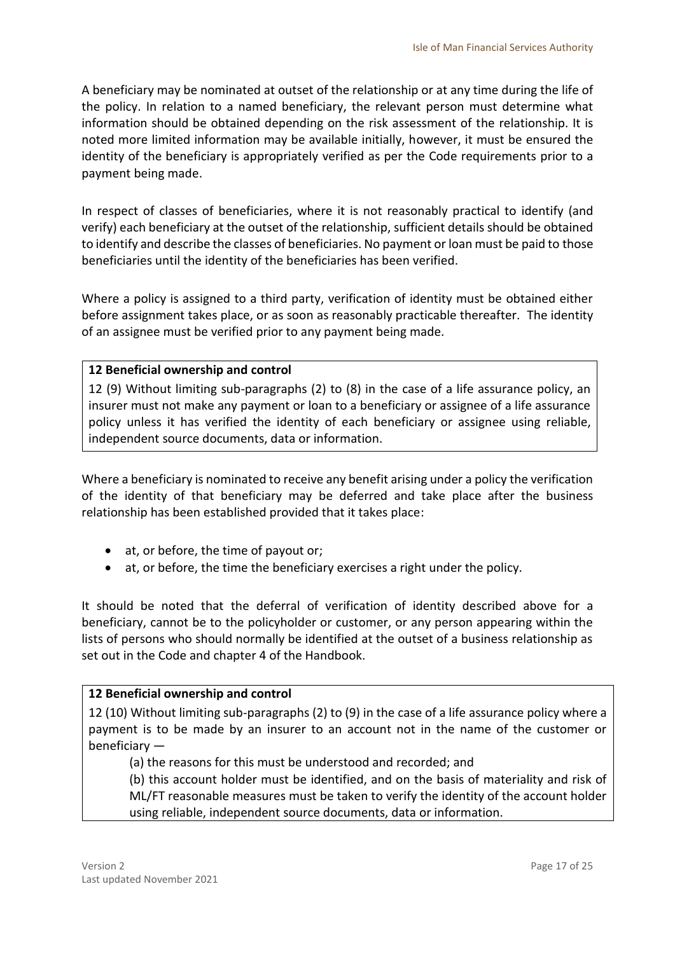A beneficiary may be nominated at outset of the relationship or at any time during the life of the policy. In relation to a named beneficiary, the relevant person must determine what information should be obtained depending on the risk assessment of the relationship. It is noted more limited information may be available initially, however, it must be ensured the identity of the beneficiary is appropriately verified as per the Code requirements prior to a payment being made.

In respect of classes of beneficiaries, where it is not reasonably practical to identify (and verify) each beneficiary at the outset of the relationship, sufficient details should be obtained to identify and describe the classes of beneficiaries. No payment or loan must be paid to those beneficiaries until the identity of the beneficiaries has been verified.

Where a policy is assigned to a third party, verification of identity must be obtained either before assignment takes place, or as soon as reasonably practicable thereafter. The identity of an assignee must be verified prior to any payment being made.

### **12 Beneficial ownership and control**

12 (9) Without limiting sub-paragraphs (2) to (8) in the case of a life assurance policy, an insurer must not make any payment or loan to a beneficiary or assignee of a life assurance policy unless it has verified the identity of each beneficiary or assignee using reliable, independent source documents, data or information.

Where a beneficiary is nominated to receive any benefit arising under a policy the verification of the identity of that beneficiary may be deferred and take place after the business relationship has been established provided that it takes place:

- at, or before, the time of payout or;
- at, or before, the time the beneficiary exercises a right under the policy.

It should be noted that the deferral of verification of identity described above for a beneficiary, cannot be to the policyholder or customer, or any person appearing within the lists of persons who should normally be identified at the outset of a business relationship as set out in the Code and chapter 4 of the Handbook.

### **12 Beneficial ownership and control**

12 (10) Without limiting sub-paragraphs (2) to (9) in the case of a life assurance policy where a payment is to be made by an insurer to an account not in the name of the customer or beneficiary —

(a) the reasons for this must be understood and recorded; and

(b) this account holder must be identified, and on the basis of materiality and risk of ML/FT reasonable measures must be taken to verify the identity of the account holder using reliable, independent source documents, data or information.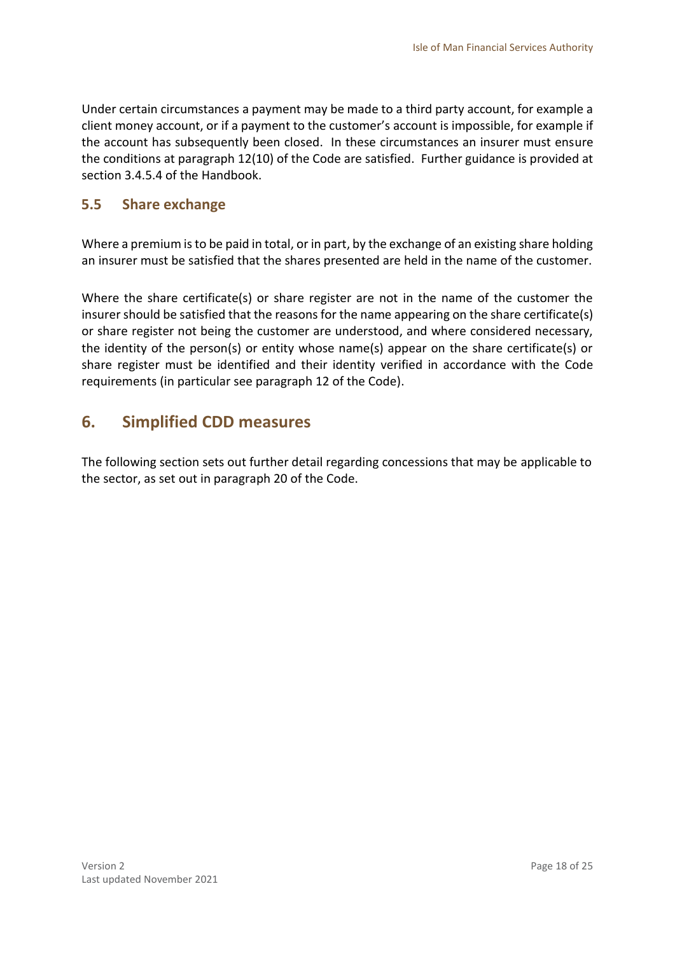Under certain circumstances a payment may be made to a third party account, for example a client money account, or if a payment to the customer's account is impossible, for example if the account has subsequently been closed. In these circumstances an insurer must ensure the conditions at paragraph 12(10) of the Code are satisfied. Further guidance is provided at section 3.4.5.4 of the Handbook.

### <span id="page-17-0"></span>**5.5 Share exchange**

Where a premium is to be paid in total, or in part, by the exchange of an existing share holding an insurer must be satisfied that the shares presented are held in the name of the customer.

Where the share certificate(s) or share register are not in the name of the customer the insurer should be satisfied that the reasons for the name appearing on the share certificate(s) or share register not being the customer are understood, and where considered necessary, the identity of the person(s) or entity whose name(s) appear on the share certificate(s) or share register must be identified and their identity verified in accordance with the Code requirements (in particular see paragraph 12 of the Code).

# <span id="page-17-1"></span>**6. Simplified CDD measures**

The following section sets out further detail regarding concessions that may be applicable to the sector, as set out in paragraph 20 of the Code.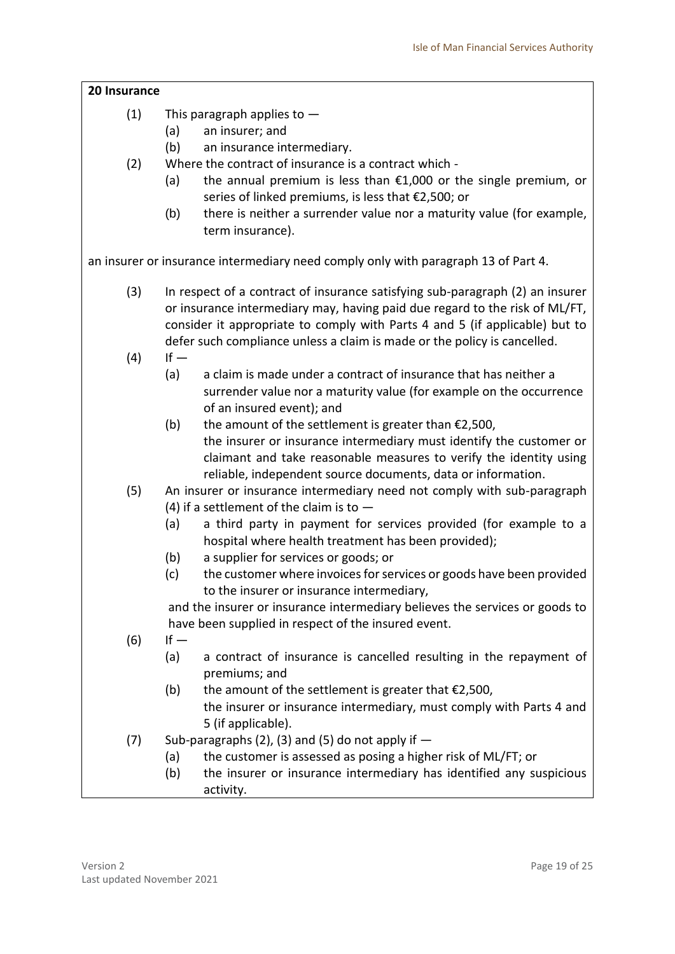<span id="page-18-0"></span>

| 20 Insurance |                                                                                                                     |  |
|--------------|---------------------------------------------------------------------------------------------------------------------|--|
| (1)          | This paragraph applies to $-$                                                                                       |  |
|              | (a)<br>an insurer; and                                                                                              |  |
|              | (b)<br>an insurance intermediary.                                                                                   |  |
| (2)          | Where the contract of insurance is a contract which -                                                               |  |
|              | the annual premium is less than $£1,000$ or the single premium, or<br>(a)                                           |  |
|              | series of linked premiums, is less that €2,500; or                                                                  |  |
|              | (b)<br>there is neither a surrender value nor a maturity value (for example,                                        |  |
|              | term insurance).                                                                                                    |  |
|              | an insurer or insurance intermediary need comply only with paragraph 13 of Part 4.                                  |  |
| (3)          | In respect of a contract of insurance satisfying sub-paragraph (2) an insurer                                       |  |
|              | or insurance intermediary may, having paid due regard to the risk of ML/FT,                                         |  |
|              | consider it appropriate to comply with Parts 4 and 5 (if applicable) but to                                         |  |
|              | defer such compliance unless a claim is made or the policy is cancelled.                                            |  |
| (4)          | $If -$                                                                                                              |  |
|              | (a)<br>a claim is made under a contract of insurance that has neither a                                             |  |
|              | surrender value nor a maturity value (for example on the occurrence                                                 |  |
|              | of an insured event); and                                                                                           |  |
|              | (b)<br>the amount of the settlement is greater than $£2,500,$                                                       |  |
|              | the insurer or insurance intermediary must identify the customer or                                                 |  |
|              | claimant and take reasonable measures to verify the identity using                                                  |  |
|              | reliable, independent source documents, data or information.                                                        |  |
| (5)          | An insurer or insurance intermediary need not comply with sub-paragraph                                             |  |
|              | (4) if a settlement of the claim is to $-$                                                                          |  |
|              | a third party in payment for services provided (for example to a<br>(a)                                             |  |
|              | hospital where health treatment has been provided);                                                                 |  |
|              | (b)<br>a supplier for services or goods; or<br>the customer where invoices for services or goods have been provided |  |
|              | (c)<br>to the insurer or insurance intermediary,                                                                    |  |
|              | and the insurer or insurance intermediary believes the services or goods to                                         |  |
|              | have been supplied in respect of the insured event.                                                                 |  |
| (6)          | $If -$                                                                                                              |  |
|              | (a)<br>a contract of insurance is cancelled resulting in the repayment of                                           |  |
|              | premiums; and                                                                                                       |  |
|              | (b)<br>the amount of the settlement is greater that $£2,500,$                                                       |  |
|              | the insurer or insurance intermediary, must comply with Parts 4 and                                                 |  |
|              | 5 (if applicable).                                                                                                  |  |
| (7)          | Sub-paragraphs (2), (3) and (5) do not apply if $-$                                                                 |  |
|              | the customer is assessed as posing a higher risk of ML/FT; or<br>(a)                                                |  |
|              | the insurer or insurance intermediary has identified any suspicious<br>(b)                                          |  |
|              | activity.                                                                                                           |  |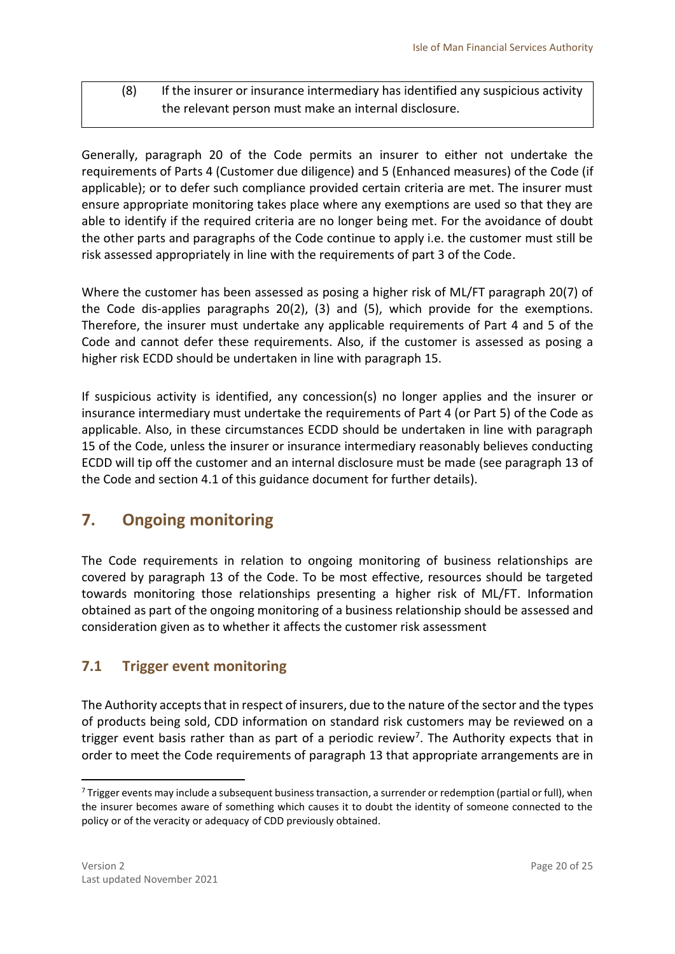### (8) If the insurer or insurance intermediary has identified any suspicious activity the relevant person must make an internal disclosure.

Generally, paragraph 20 of the Code permits an insurer to either not undertake the requirements of Parts 4 (Customer due diligence) and 5 (Enhanced measures) of the Code (if applicable); or to defer such compliance provided certain criteria are met. The insurer must ensure appropriate monitoring takes place where any exemptions are used so that they are able to identify if the required criteria are no longer being met. For the avoidance of doubt the other parts and paragraphs of the Code continue to apply i.e. the customer must still be risk assessed appropriately in line with the requirements of part 3 of the Code.

Where the customer has been assessed as posing a higher risk of ML/FT paragraph 20(7) of the Code dis-applies paragraphs 20(2), (3) and (5), which provide for the exemptions. Therefore, the insurer must undertake any applicable requirements of Part 4 and 5 of the Code and cannot defer these requirements. Also, if the customer is assessed as posing a higher risk ECDD should be undertaken in line with paragraph 15.

If suspicious activity is identified, any concession(s) no longer applies and the insurer or insurance intermediary must undertake the requirements of Part 4 (or Part 5) of the Code as applicable. Also, in these circumstances ECDD should be undertaken in line with paragraph 15 of the Code, unless the insurer or insurance intermediary reasonably believes conducting ECDD will tip off the customer and an internal disclosure must be made (see paragraph 13 of the Code and section 4.1 of this guidance document for further details).

# <span id="page-19-0"></span>**7. Ongoing monitoring**

The Code requirements in relation to ongoing monitoring of business relationships are covered by paragraph 13 of the Code. To be most effective, resources should be targeted towards monitoring those relationships presenting a higher risk of ML/FT. Information obtained as part of the ongoing monitoring of a business relationship should be assessed and consideration given as to whether it affects the customer risk assessment

# <span id="page-19-1"></span>**7.1 Trigger event monitoring**

The Authority accepts that in respect of insurers, due to the nature of the sector and the types of products being sold, CDD information on standard risk customers may be reviewed on a trigger event basis rather than as part of a periodic review<sup>7</sup>. The Authority expects that in order to meet the Code requirements of paragraph 13 that appropriate arrangements are in

<sup>&</sup>lt;sup>7</sup> Trigger events may include a subsequent business transaction, a surrender or redemption (partial or full), when the insurer becomes aware of something which causes it to doubt the identity of someone connected to the policy or of the veracity or adequacy of CDD previously obtained.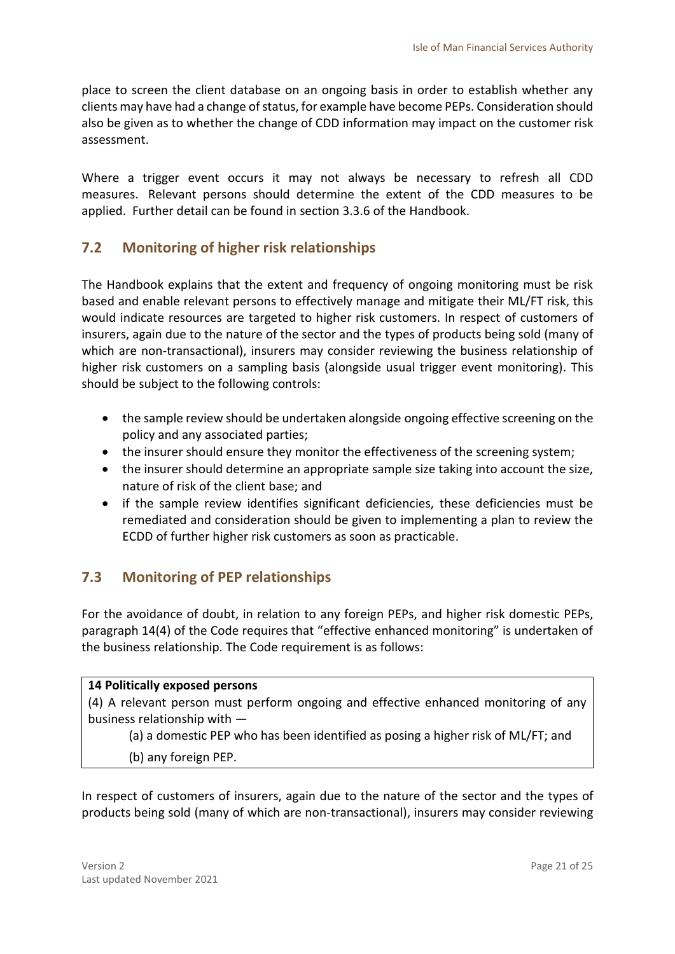place to screen the client database on an ongoing basis in order to establish whether any clients may have had a change of status, for example have become PEPs. Consideration should also be given as to whether the change of CDD information may impact on the customer risk assessment.

Where a trigger event occurs it may not always be necessary to refresh all CDD measures. Relevant persons should determine the extent of the CDD measures to be applied. Further detail can be found in section 3.3.6 of the Handbook.

## <span id="page-20-0"></span>**7.2 Monitoring of higher risk relationships**

The Handbook explains that the extent and frequency of ongoing monitoring must be risk based and enable relevant persons to effectively manage and mitigate their ML/FT risk, this would indicate resources are targeted to higher risk customers. In respect of customers of insurers, again due to the nature of the sector and the types of products being sold (many of which are non-transactional), insurers may consider reviewing the business relationship of higher risk customers on a sampling basis (alongside usual trigger event monitoring). This should be subject to the following controls:

- the sample review should be undertaken alongside ongoing effective screening on the policy and any associated parties;
- the insurer should ensure they monitor the effectiveness of the screening system;
- the insurer should determine an appropriate sample size taking into account the size, nature of risk of the client base; and
- if the sample review identifies significant deficiencies, these deficiencies must be remediated and consideration should be given to implementing a plan to review the ECDD of further higher risk customers as soon as practicable.

### <span id="page-20-1"></span>**7.3 Monitoring of PEP relationships**

For the avoidance of doubt, in relation to any foreign PEPs, and higher risk domestic PEPs, paragraph 14(4) of the Code requires that "effective enhanced monitoring" is undertaken of the business relationship. The Code requirement is as follows:

### **14 Politically exposed persons**

(4) A relevant person must perform ongoing and effective enhanced monitoring of any business relationship with —

(a) a domestic PEP who has been identified as posing a higher risk of ML/FT; and

(b) any foreign PEP.

In respect of customers of insurers, again due to the nature of the sector and the types of products being sold (many of which are non-transactional), insurers may consider reviewing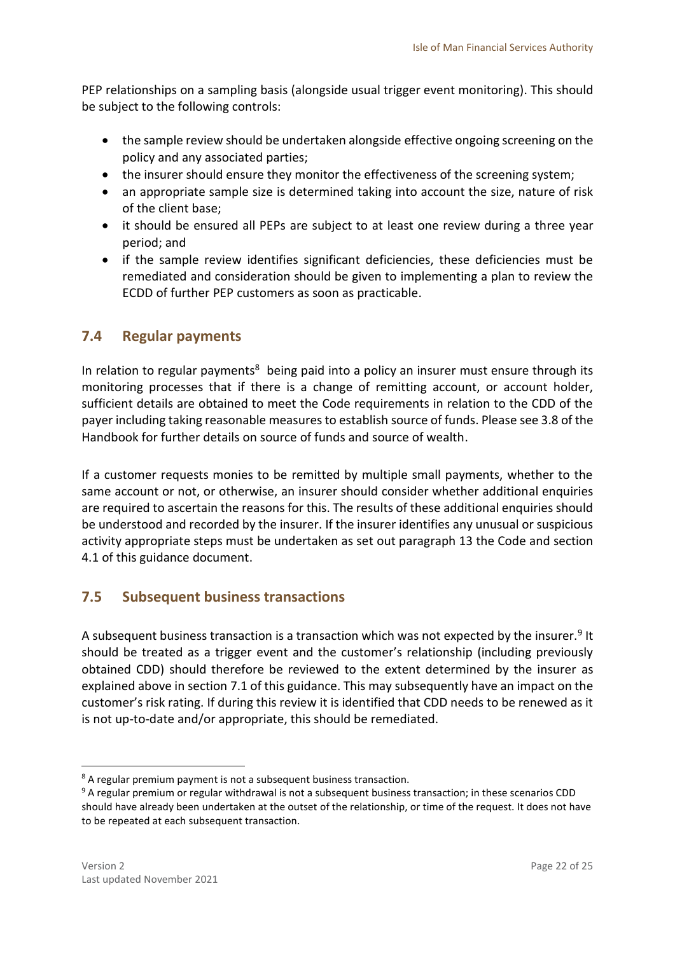PEP relationships on a sampling basis (alongside usual trigger event monitoring). This should be subject to the following controls:

- the sample review should be undertaken alongside effective ongoing screening on the policy and any associated parties;
- the insurer should ensure they monitor the effectiveness of the screening system;
- an appropriate sample size is determined taking into account the size, nature of risk of the client base;
- it should be ensured all PEPs are subject to at least one review during a three year period; and
- if the sample review identifies significant deficiencies, these deficiencies must be remediated and consideration should be given to implementing a plan to review the ECDD of further PEP customers as soon as practicable.

## <span id="page-21-0"></span>**7.4 Regular payments**

In relation to regular payments<sup>8</sup> being paid into a policy an insurer must ensure through its monitoring processes that if there is a change of remitting account, or account holder, sufficient details are obtained to meet the Code requirements in relation to the CDD of the payer including taking reasonable measures to establish source of funds. Please see 3.8 of the Handbook for further details on source of funds and source of wealth.

If a customer requests monies to be remitted by multiple small payments, whether to the same account or not, or otherwise, an insurer should consider whether additional enquiries are required to ascertain the reasons for this. The results of these additional enquiries should be understood and recorded by the insurer. If the insurer identifies any unusual or suspicious activity appropriate steps must be undertaken as set out paragraph 13 the Code and section 4.1 of this guidance document.

### <span id="page-21-1"></span>**7.5 Subsequent business transactions**

A subsequent business transaction is a transaction which was not expected by the insurer.<sup>9</sup> It should be treated as a trigger event and the customer's relationship (including previously obtained CDD) should therefore be reviewed to the extent determined by the insurer as explained above in section 7.1 of this guidance. This may subsequently have an impact on the customer's risk rating. If during this review it is identified that CDD needs to be renewed as it is not up-to-date and/or appropriate, this should be remediated.

1

<sup>&</sup>lt;sup>8</sup> A regular premium payment is not a subsequent business transaction.

<sup>&</sup>lt;sup>9</sup> A regular premium or regular withdrawal is not a subsequent business transaction; in these scenarios CDD should have already been undertaken at the outset of the relationship, or time of the request. It does not have to be repeated at each subsequent transaction.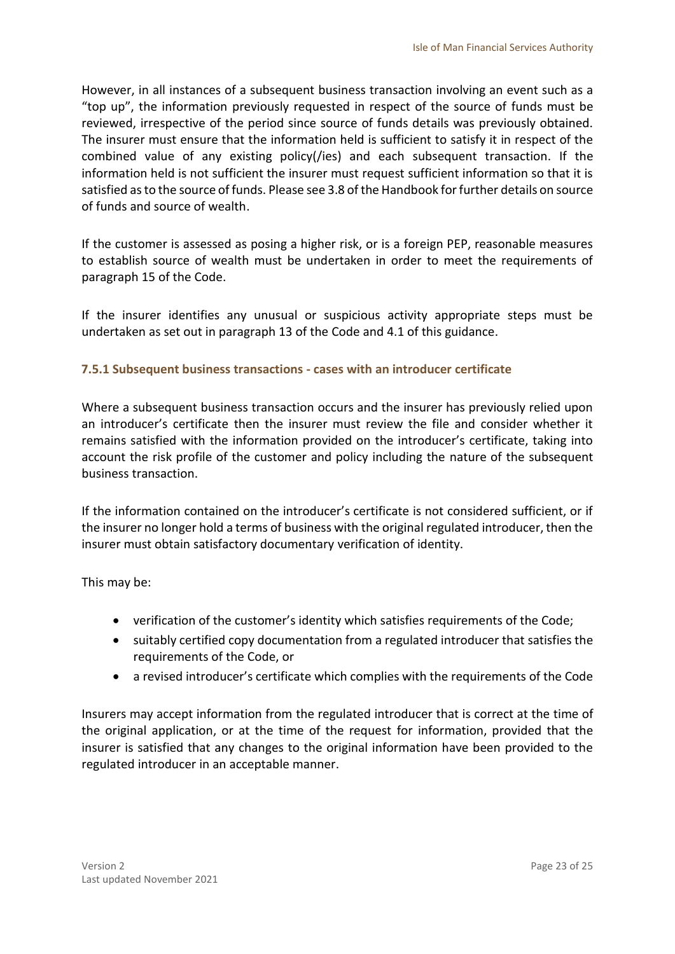However, in all instances of a subsequent business transaction involving an event such as a "top up", the information previously requested in respect of the source of funds must be reviewed, irrespective of the period since source of funds details was previously obtained. The insurer must ensure that the information held is sufficient to satisfy it in respect of the combined value of any existing policy(/ies) and each subsequent transaction. If the information held is not sufficient the insurer must request sufficient information so that it is satisfied as to the source of funds. Please see 3.8 of the Handbook for further details on source of funds and source of wealth.

If the customer is assessed as posing a higher risk, or is a foreign PEP, reasonable measures to establish source of wealth must be undertaken in order to meet the requirements of paragraph 15 of the Code.

If the insurer identifies any unusual or suspicious activity appropriate steps must be undertaken as set out in paragraph 13 of the Code and 4.1 of this guidance.

### <span id="page-22-0"></span>**7.5.1 Subsequent business transactions - cases with an introducer certificate**

Where a subsequent business transaction occurs and the insurer has previously relied upon an introducer's certificate then the insurer must review the file and consider whether it remains satisfied with the information provided on the introducer's certificate, taking into account the risk profile of the customer and policy including the nature of the subsequent business transaction.

If the information contained on the introducer's certificate is not considered sufficient, or if the insurer no longer hold a terms of business with the original regulated introducer, then the insurer must obtain satisfactory documentary verification of identity.

This may be:

- verification of the customer's identity which satisfies requirements of the Code;
- suitably certified copy documentation from a regulated introducer that satisfies the requirements of the Code, or
- a revised introducer's certificate which complies with the requirements of the Code

Insurers may accept information from the regulated introducer that is correct at the time of the original application, or at the time of the request for information, provided that the insurer is satisfied that any changes to the original information have been provided to the regulated introducer in an acceptable manner.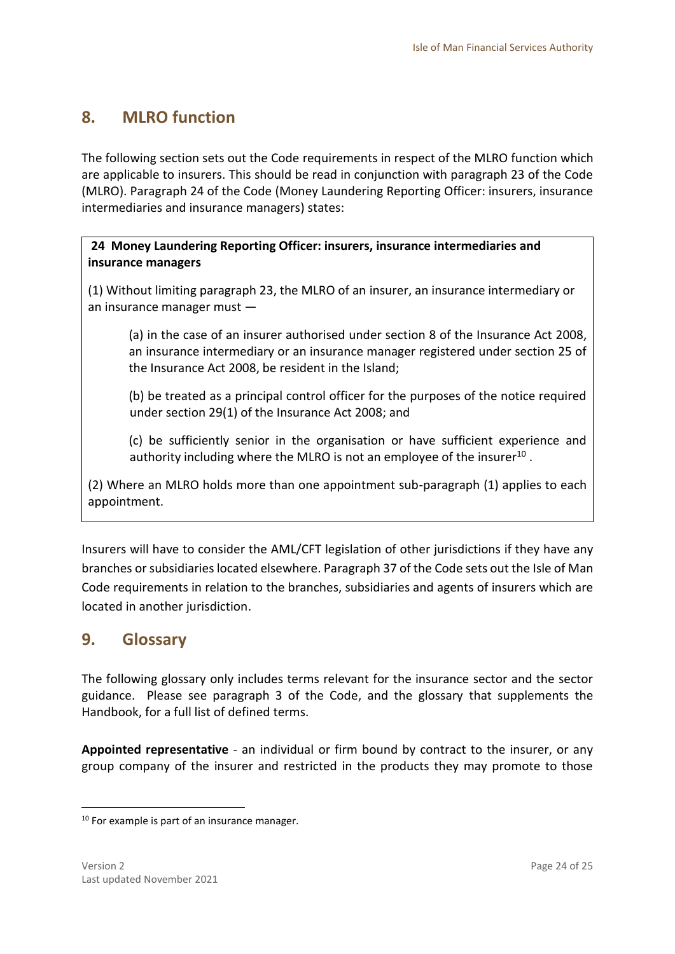# <span id="page-23-0"></span>**8. MLRO function**

The following section sets out the Code requirements in respect of the MLRO function which are applicable to insurers. This should be read in conjunction with paragraph 23 of the Code (MLRO). Paragraph 24 of the Code (Money Laundering Reporting Officer: insurers, insurance intermediaries and insurance managers) states:

### **24 Money Laundering Reporting Officer: insurers, insurance intermediaries and insurance managers**

(1) Without limiting paragraph 23, the MLRO of an insurer, an insurance intermediary or an insurance manager must —

(a) in the case of an insurer authorised under section 8 of the Insurance Act 2008, an insurance intermediary or an insurance manager registered under section 25 of the Insurance Act 2008, be resident in the Island;

(b) be treated as a principal control officer for the purposes of the notice required under section 29(1) of the Insurance Act 2008; and

(c) be sufficiently senior in the organisation or have sufficient experience and authority including where the MLRO is not an employee of the insurer<sup>10</sup>.

(2) Where an MLRO holds more than one appointment sub-paragraph (1) applies to each appointment.

Insurers will have to consider the AML/CFT legislation of other jurisdictions if they have any branches or subsidiaries located elsewhere. Paragraph 37 of the Code sets out the Isle of Man Code requirements in relation to the branches, subsidiaries and agents of insurers which are located in another jurisdiction.

# <span id="page-23-1"></span>**9. Glossary**

The following glossary only includes terms relevant for the insurance sector and the sector guidance. Please see paragraph 3 of the Code, and the glossary that supplements the Handbook, for a full list of defined terms.

**Appointed representative** - an individual or firm bound by contract to the insurer, or any group company of the insurer and restricted in the products they may promote to those

<sup>&</sup>lt;sup>10</sup> For example is part of an insurance manager.